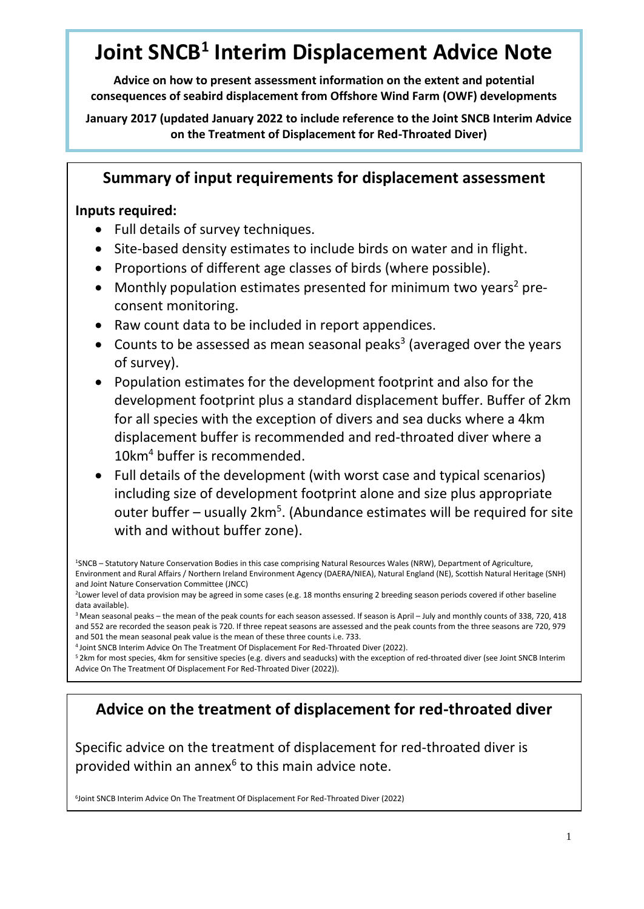# **Joint SNCB<sup>1</sup> Interim Displacement Advice Note**

**Advice on how to present assessment information on the extent and potential consequences of seabird displacement from Offshore Wind Farm (OWF) developments**

**January 2017 (updated January 2022 to include reference to the Joint SNCB Interim Advice on the Treatment of Displacement for Red-Throated Diver)**

# **Summary of input requirements for displacement assessment**

### **Inputs required:**

- Full details of survey techniques.
- Site-based density estimates to include birds on water and in flight.
- Proportions of different age classes of birds (where possible).
- Monthly population estimates presented for minimum two years<sup>2</sup> preconsent monitoring.
- Raw count data to be included in report appendices.
- Counts to be assessed as mean seasonal peaks<sup>3</sup> (averaged over the years of survey).
- Population estimates for the development footprint and also for the development footprint plus a standard displacement buffer. Buffer of 2km for all species with the exception of divers and sea ducks where a 4km displacement buffer is recommended and red-throated diver where a 10km<sup>4</sup> buffer is recommended.
- Full details of the development (with worst case and typical scenarios) including size of development footprint alone and size plus appropriate outer buffer – usually 2km<sup>5</sup>. (Abundance estimates will be required for site with and without buffer zone).

<sup>3</sup> Mean seasonal peaks – the mean of the peak counts for each season assessed. If season is April – July and monthly counts of 338, 720, 418 and 552 are recorded the season peak is 720. If three repeat seasons are assessed and the peak counts from the three seasons are 720, 979 and 501 the mean seasonal peak value is the mean of these three counts i.e. 733.

<sup>4</sup>Joint SNCB Interim Advice On The Treatment Of Displacement For Red-Throated Diver (2022).

<sup>5</sup> 2km for most species, 4km for sensitive species (e.g. divers and seaducks) with the exception of red-throated diver (see Joint SNCB Interim Advice On The Treatment Of Displacement For Red-Throated Diver (2022)).

# **Advice on the treatment of displacement for red-throated diver**

Specific advice on the treatment of displacement for red-throated diver is provided within an annex<sup>6</sup> to this main advice note.

<sup>6</sup>Joint SNCB Interim Advice On The Treatment Of Displacement For Red-Throated Diver (2022)

<sup>1</sup>SNCB – Statutory Nature Conservation Bodies in this case comprising Natural Resources Wales (NRW), Department of Agriculture, Environment and Rural Affairs / Northern Ireland Environment Agency (DAERA/NIEA), Natural England (NE), Scottish Natural Heritage (SNH) and Joint Nature Conservation Committee (JNCC)

<sup>&</sup>lt;sup>2</sup>Lower level of data provision may be agreed in some cases (e.g. 18 months ensuring 2 breeding season periods covered if other baseline data available).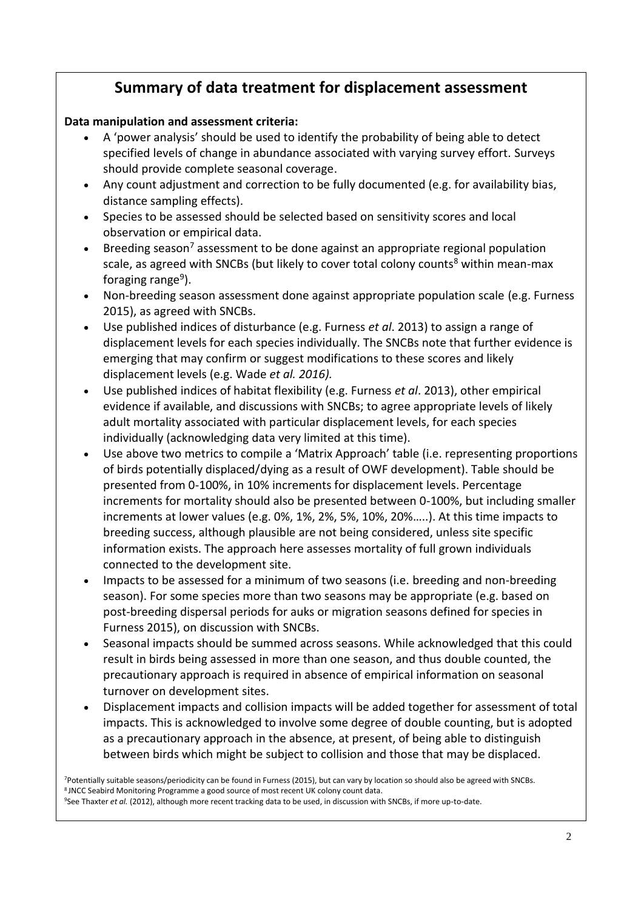# **Summary of data treatment for displacement assessment**

### **Data manipulation and assessment criteria:**

- A 'power analysis' should be used to identify the probability of being able to detect specified levels of change in abundance associated with varying survey effort. Surveys should provide complete seasonal coverage.
- Any count adjustment and correction to be fully documented (e.g. for availability bias, distance sampling effects).
- Species to be assessed should be selected based on sensitivity scores and local observation or empirical data.
- Breeding season<sup>7</sup> assessment to be done against an appropriate regional population scale, as agreed with SNCBs (but likely to cover total colony counts<sup>8</sup> within mean-max foraging range<sup>9</sup>).
- Non-breeding season assessment done against appropriate population scale (e.g. Furness 2015), as agreed with SNCBs.
- Use published indices of disturbance (e.g. Furness *et al*. 2013) to assign a range of displacement levels for each species individually. The SNCBs note that further evidence is emerging that may confirm or suggest modifications to these scores and likely displacement levels (e.g. Wade *et al. 2016).*
- Use published indices of habitat flexibility (e.g. Furness *et al*. 2013), other empirical evidence if available, and discussions with SNCBs; to agree appropriate levels of likely adult mortality associated with particular displacement levels, for each species individually (acknowledging data very limited at this time).
- Use above two metrics to compile a 'Matrix Approach' table (i.e. representing proportions of birds potentially displaced/dying as a result of OWF development). Table should be presented from 0-100%, in 10% increments for displacement levels. Percentage increments for mortality should also be presented between 0-100%, but including smaller increments at lower values (e.g. 0%, 1%, 2%, 5%, 10%, 20%…..). At this time impacts to breeding success, although plausible are not being considered, unless site specific information exists. The approach here assesses mortality of full grown individuals connected to the development site.
- Impacts to be assessed for a minimum of two seasons (i.e. breeding and non-breeding season). For some species more than two seasons may be appropriate (e.g. based on post-breeding dispersal periods for auks or migration seasons defined for species in Furness 2015), on discussion with SNCBs.
- Seasonal impacts should be summed across seasons. While acknowledged that this could result in birds being assessed in more than one season, and thus double counted, the precautionary approach is required in absence of empirical information on seasonal turnover on development sites.
- Displacement impacts and collision impacts will be added together for assessment of total impacts. This is acknowledged to involve some degree of double counting, but is adopted as a precautionary approach in the absence, at present, of being able to distinguish between birds which might be subject to collision and those that may be displaced.

<sup>7</sup>Potentially suitable seasons/periodicity can be found in Furness (2015), but can vary by location so should also be agreed with SNCBs. 8 JNCC Seabird Monitoring Programme a good source of most recent UK colony count data.

<sup>9</sup>See Thaxter *et al.* (2012), although more recent tracking data to be used, in discussion with SNCBs, if more up-to-date.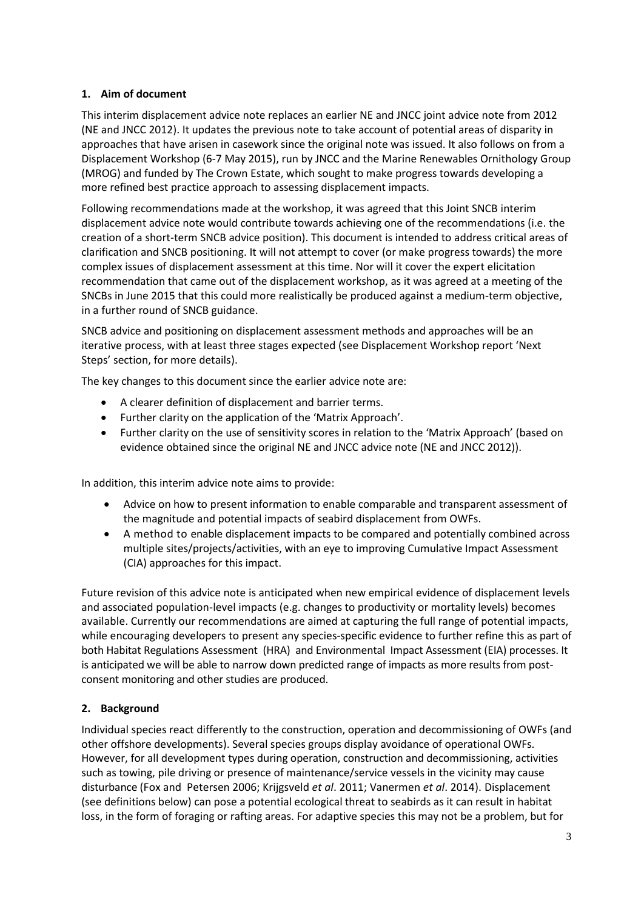#### **1. Aim of document**

This interim displacement advice note replaces an earlier NE and JNCC joint advice note from 2012 (NE and JNCC 2012). It updates the previous note to take account of potential areas of disparity in approaches that have arisen in casework since the original note was issued. It also follows on from a Displacement Workshop (6-7 May 2015), run by JNCC and the Marine Renewables Ornithology Group (MROG) and funded by The Crown Estate, which sought to make progress towards developing a more refined best practice approach to assessing displacement impacts.

Following recommendations made at the workshop, it was agreed that this Joint SNCB interim displacement advice note would contribute towards achieving one of the recommendations (i.e. the creation of a short-term SNCB advice position). This document is intended to address critical areas of clarification and SNCB positioning. It will not attempt to cover (or make progress towards) the more complex issues of displacement assessment at this time. Nor will it cover the expert elicitation recommendation that came out of the displacement workshop, as it was agreed at a meeting of the SNCBs in June 2015 that this could more realistically be produced against a medium-term objective, in a further round of SNCB guidance.

SNCB advice and positioning on displacement assessment methods and approaches will be an iterative process, with at least three stages expected (see Displacement Workshop report 'Next Steps' section, for more details).

The key changes to this document since the earlier advice note are:

- A clearer definition of displacement and barrier terms.
- Further clarity on the application of the 'Matrix Approach'.
- Further clarity on the use of sensitivity scores in relation to the 'Matrix Approach' (based on evidence obtained since the original NE and JNCC advice note (NE and JNCC 2012)).

In addition, this interim advice note aims to provide:

- Advice on how to present information to enable comparable and transparent assessment of the magnitude and potential impacts of seabird displacement from OWFs.
- A method to enable displacement impacts to be compared and potentially combined across multiple sites/projects/activities, with an eye to improving Cumulative Impact Assessment (CIA) approaches for this impact.

Future revision of this advice note is anticipated when new empirical evidence of displacement levels and associated population-level impacts (e.g. changes to productivity or mortality levels) becomes available. Currently our recommendations are aimed at capturing the full range of potential impacts, while encouraging developers to present any species-specific evidence to further refine this as part of both Habitat Regulations Assessment (HRA) and Environmental Impact Assessment (EIA) processes. It is anticipated we will be able to narrow down predicted range of impacts as more results from postconsent monitoring and other studies are produced.

### **2. Background**

Individual species react differently to the construction, operation and decommissioning of OWFs (and other offshore developments). Several species groups display avoidance of operational OWFs. However, for all development types during operation, construction and decommissioning, activities such as towing, pile driving or presence of maintenance/service vessels in the vicinity may cause disturbance (Fox and Petersen 2006; Krijgsveld *et al*. 2011; Vanermen *et al*. 2014). Displacement (see definitions below) can pose a potential ecological threat to seabirds as it can result in habitat loss, in the form of foraging or rafting areas. For adaptive species this may not be a problem, but for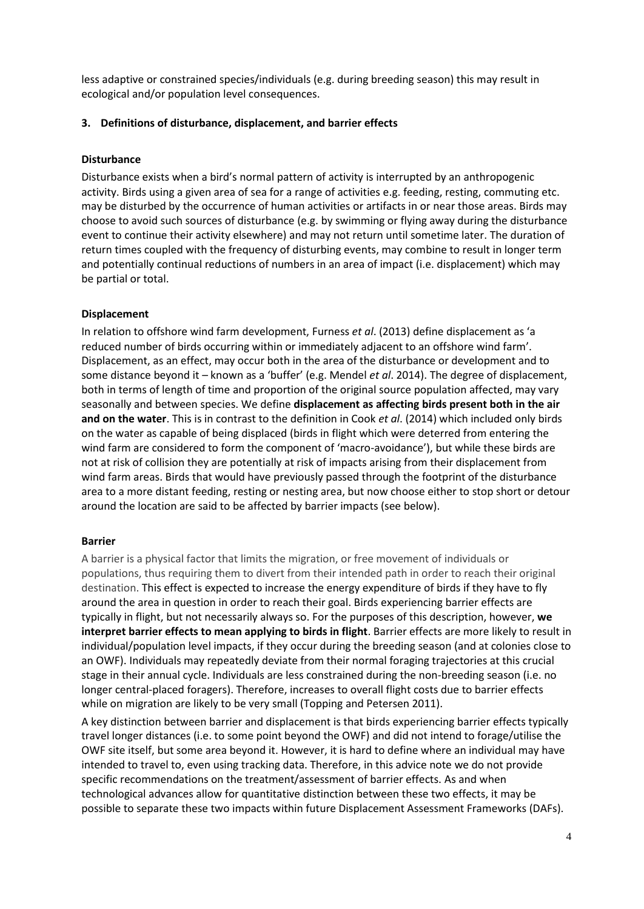less adaptive or constrained species/individuals (e.g. during breeding season) this may result in ecological and/or population level consequences.

#### **3. Definitions of disturbance, displacement, and barrier effects**

#### **Disturbance**

Disturbance exists when a bird's normal pattern of activity is interrupted by an anthropogenic activity. Birds using a given area of sea for a range of activities e.g. feeding, resting, commuting etc. may be disturbed by the occurrence of human activities or artifacts in or near those areas. Birds may choose to avoid such sources of disturbance (e.g. by swimming or flying away during the disturbance event to continue their activity elsewhere) and may not return until sometime later. The duration of return times coupled with the frequency of disturbing events, may combine to result in longer term and potentially continual reductions of numbers in an area of impact (i.e. displacement) which may be partial or total.

#### **Displacement**

In relation to offshore wind farm development, Furness *et al*. (2013) define displacement as 'a reduced number of birds occurring within or immediately adjacent to an offshore wind farm'. Displacement, as an effect, may occur both in the area of the disturbance or development and to some distance beyond it – known as a 'buffer' (e.g. Mendel *et al*. 2014). The degree of displacement, both in terms of length of time and proportion of the original source population affected, may vary seasonally and between species. We define **displacement as affecting birds present both in the air and on the water**. This is in contrast to the definition in Cook *et al*. (2014) which included only birds on the water as capable of being displaced (birds in flight which were deterred from entering the wind farm are considered to form the component of 'macro-avoidance'), but while these birds are not at risk of collision they are potentially at risk of impacts arising from their displacement from wind farm areas. Birds that would have previously passed through the footprint of the disturbance area to a more distant feeding, resting or nesting area, but now choose either to stop short or detour around the location are said to be affected by barrier impacts (see below).

#### **Barrier**

A barrier is a physical factor that limits the migration, or free movement of individuals or populations, thus requiring them to divert from their intended path in order to reach their original destination. This effect is expected to increase the energy expenditure of birds if they have to fly around the area in question in order to reach their goal. Birds experiencing barrier effects are typically in flight, but not necessarily always so. For the purposes of this description, however, **we interpret barrier effects to mean applying to birds in flight**. Barrier effects are more likely to result in individual/population level impacts, if they occur during the breeding season (and at colonies close to an OWF). Individuals may repeatedly deviate from their normal foraging trajectories at this crucial stage in their annual cycle. Individuals are less constrained during the non-breeding season (i.e. no longer central-placed foragers). Therefore, increases to overall flight costs due to barrier effects while on migration are likely to be very small (Topping and Petersen 2011).

A key distinction between barrier and displacement is that birds experiencing barrier effects typically travel longer distances (i.e. to some point beyond the OWF) and did not intend to forage/utilise the OWF site itself, but some area beyond it. However, it is hard to define where an individual may have intended to travel to, even using tracking data. Therefore, in this advice note we do not provide specific recommendations on the treatment/assessment of barrier effects. As and when technological advances allow for quantitative distinction between these two effects, it may be possible to separate these two impacts within future Displacement Assessment Frameworks (DAFs).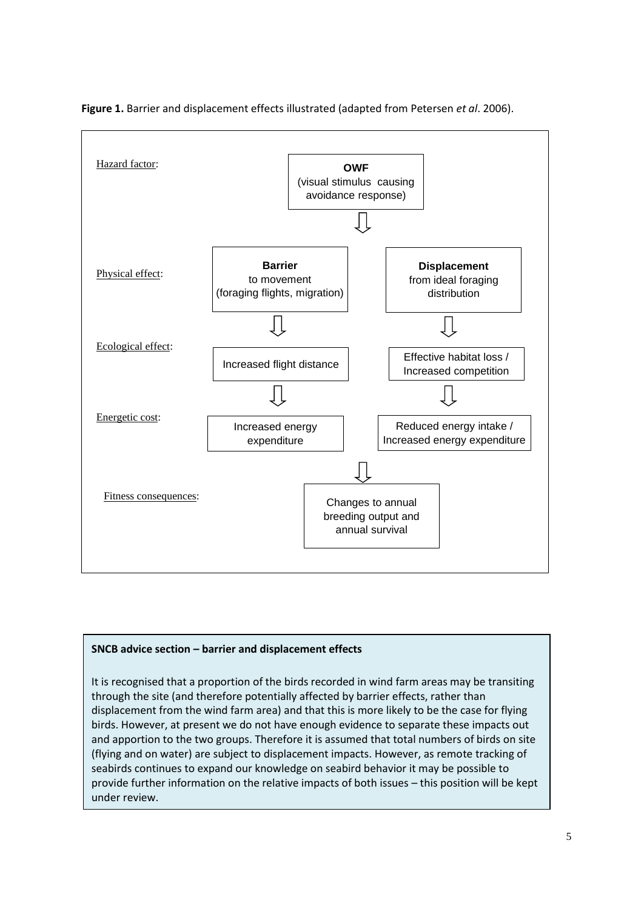

**Figure 1.** Barrier and displacement effects illustrated (adapted from Petersen *et al*. 2006).

#### **SNCB advice section – barrier and displacement effects**

It is recognised that a proportion of the birds recorded in wind farm areas may be transiting through the site (and therefore potentially affected by barrier effects, rather than displacement from the wind farm area) and that this is more likely to be the case for flying birds. However, at present we do not have enough evidence to separate these impacts out and apportion to the two groups. Therefore it is assumed that total numbers of birds on site (flying and on water) are subject to displacement impacts. However, as remote tracking of seabirds continues to expand our knowledge on seabird behavior it may be possible to provide further information on the relative impacts of both issues – this position will be kept under review.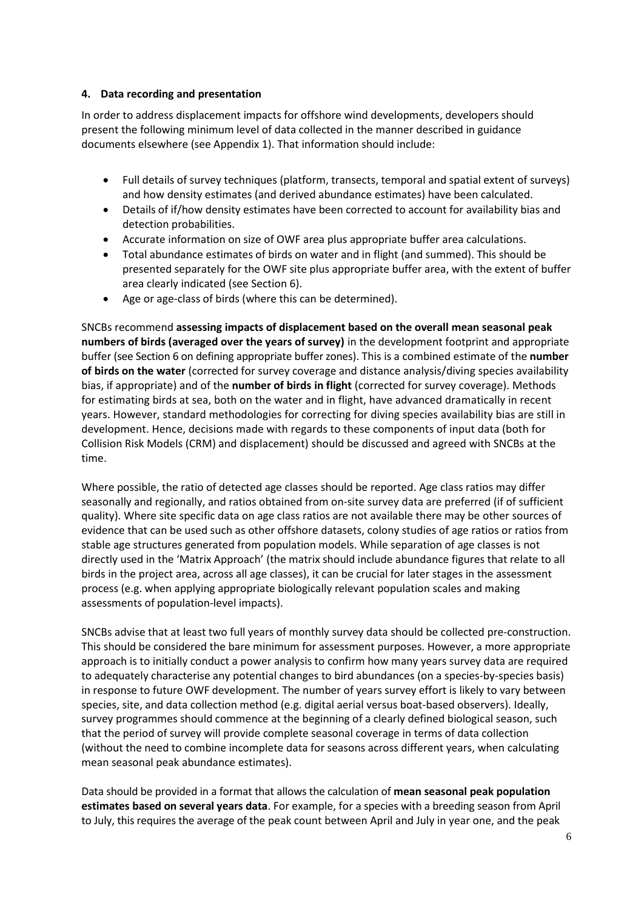#### **4. Data recording and presentation**

In order to address displacement impacts for offshore wind developments, developers should present the following minimum level of data collected in the manner described in guidance documents elsewhere (see Appendix 1). That information should include:

- Full details of survey techniques (platform, transects, temporal and spatial extent of surveys) and how density estimates (and derived abundance estimates) have been calculated.
- Details of if/how density estimates have been corrected to account for availability bias and detection probabilities.
- Accurate information on size of OWF area plus appropriate buffer area calculations.
- Total abundance estimates of birds on water and in flight (and summed). This should be presented separately for the OWF site plus appropriate buffer area, with the extent of buffer area clearly indicated (see Section 6).
- Age or age-class of birds (where this can be determined).

SNCBs recommend **assessing impacts of displacement based on the overall mean seasonal peak numbers of birds (averaged over the years of survey)** in the development footprint and appropriate buffer (see Section 6 on defining appropriate buffer zones). This is a combined estimate of the **number of birds on the water** (corrected for survey coverage and distance analysis/diving species availability bias, if appropriate) and of the **number of birds in flight** (corrected for survey coverage). Methods for estimating birds at sea, both on the water and in flight, have advanced dramatically in recent years. However, standard methodologies for correcting for diving species availability bias are still in development. Hence, decisions made with regards to these components of input data (both for Collision Risk Models (CRM) and displacement) should be discussed and agreed with SNCBs at the time.

Where possible, the ratio of detected age classes should be reported. Age class ratios may differ seasonally and regionally, and ratios obtained from on-site survey data are preferred (if of sufficient quality). Where site specific data on age class ratios are not available there may be other sources of evidence that can be used such as other offshore datasets, colony studies of age ratios or ratios from stable age structures generated from population models. While separation of age classes is not directly used in the 'Matrix Approach' (the matrix should include abundance figures that relate to all birds in the project area, across all age classes), it can be crucial for later stages in the assessment process (e.g. when applying appropriate biologically relevant population scales and making assessments of population-level impacts).

SNCBs advise that at least two full years of monthly survey data should be collected pre-construction. This should be considered the bare minimum for assessment purposes. However, a more appropriate approach is to initially conduct a power analysis to confirm how many years survey data are required to adequately characterise any potential changes to bird abundances (on a species-by-species basis) in response to future OWF development. The number of years survey effort is likely to vary between species, site, and data collection method (e.g. digital aerial versus boat-based observers). Ideally, survey programmes should commence at the beginning of a clearly defined biological season, such that the period of survey will provide complete seasonal coverage in terms of data collection (without the need to combine incomplete data for seasons across different years, when calculating mean seasonal peak abundance estimates).

Data should be provided in a format that allows the calculation of **mean seasonal peak population estimates based on several years data**. For example, for a species with a breeding season from April to July, this requires the average of the peak count between April and July in year one, and the peak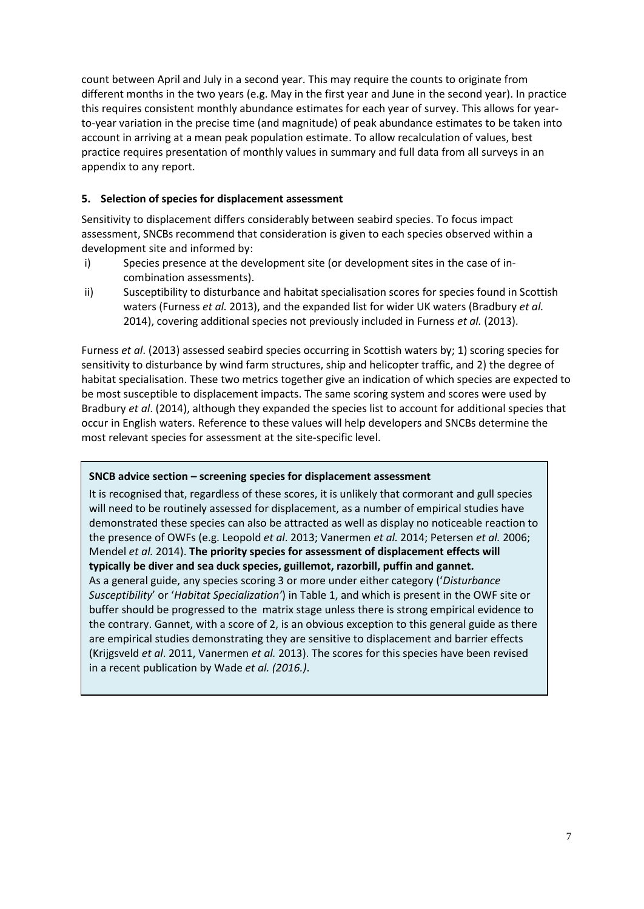count between April and July in a second year. This may require the counts to originate from different months in the two years (e.g. May in the first year and June in the second year). In practice this requires consistent monthly abundance estimates for each year of survey. This allows for yearto-year variation in the precise time (and magnitude) of peak abundance estimates to be taken into account in arriving at a mean peak population estimate. To allow recalculation of values, best practice requires presentation of monthly values in summary and full data from all surveys in an appendix to any report.

#### **5. Selection of species for displacement assessment**

Sensitivity to displacement differs considerably between seabird species. To focus impact assessment, SNCBs recommend that consideration is given to each species observed within a development site and informed by:

- i) Species presence at the development site (or development sites in the case of incombination assessments).
- ii) Susceptibility to disturbance and habitat specialisation scores for species found in Scottish waters (Furness *et al.* 2013), and the expanded list for wider UK waters (Bradbury *et al.* 2014), covering additional species not previously included in Furness *et al.* (2013).

Furness *et al*. (2013) assessed seabird species occurring in Scottish waters by; 1) scoring species for sensitivity to disturbance by wind farm structures, ship and helicopter traffic, and 2) the degree of habitat specialisation. These two metrics together give an indication of which species are expected to be most susceptible to displacement impacts. The same scoring system and scores were used by Bradbury *et al*. (2014), although they expanded the species list to account for additional species that occur in English waters. Reference to these values will help developers and SNCBs determine the most relevant species for assessment at the site-specific level.

#### **SNCB advice section – screening species for displacement assessment**

It is recognised that, regardless of these scores, it is unlikely that cormorant and gull species will need to be routinely assessed for displacement, as a number of empirical studies have demonstrated these species can also be attracted as well as display no noticeable reaction to the presence of OWFs (e.g. Leopold *et al*. 2013; Vanermen *et al.* 2014; Petersen *et al.* 2006; Mendel *et al.* 2014). **The priority species for assessment of displacement effects will typically be diver and sea duck species, guillemot, razorbill, puffin and gannet.**  As a general guide, any species scoring 3 or more under either category ('*Disturbance Susceptibility*' or '*Habitat Specialization'*) in Table 1, and which is present in the OWF site or buffer should be progressed to the matrix stage unless there is strong empirical evidence to the contrary. Gannet, with a score of 2, is an obvious exception to this general guide as there are empirical studies demonstrating they are sensitive to displacement and barrier effects (Krijgsveld *et al*. 2011, Vanermen *et al.* 2013). The scores for this species have been revised in a recent publication by Wade *et al. (2016.)*.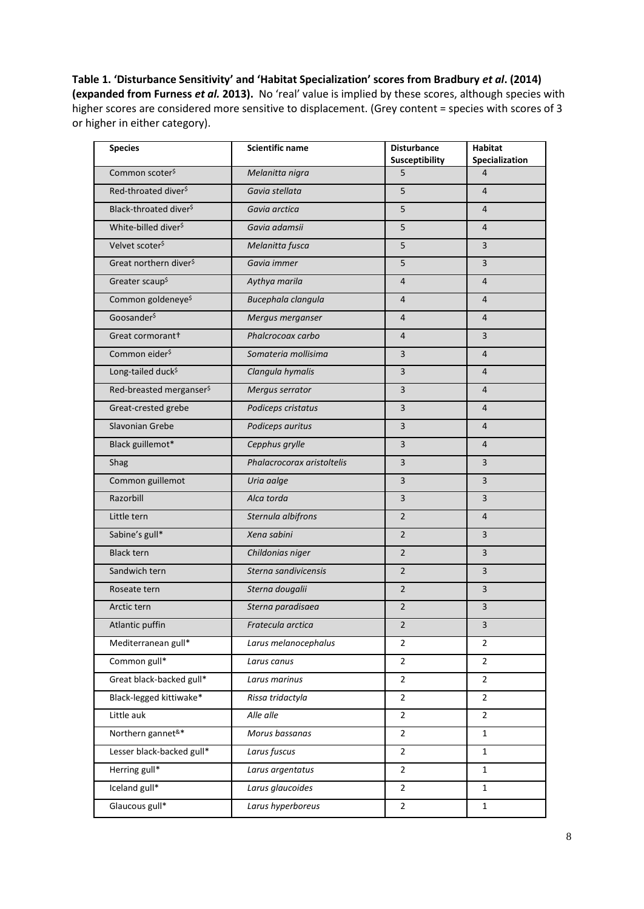<span id="page-7-0"></span>**Table 1. 'Disturbance Sensitivity' and 'Habitat Specialization' scores from Bradbury** *et al***. (2014) (expanded from Furness** *et al.* **2013).** No 'real' value is implied by these scores, although species with higher scores are considered more sensitive to displacement. (Grey content = species with scores of 3 or higher in either category).

| <b>Species</b>                       | <b>Scientific name</b>     | <b>Disturbance</b><br>Susceptibility | <b>Habitat</b><br>Specialization |  |  |
|--------------------------------------|----------------------------|--------------------------------------|----------------------------------|--|--|
| Common scoter <sup>\$</sup>          | Melanitta nigra            | 5                                    | 4                                |  |  |
| Red-throated diver <sup>\$</sup>     | Gavia stellata             | 5                                    | $\overline{4}$                   |  |  |
| Black-throated diver <sup>\$</sup>   | Gavia arctica              | 5                                    | $\overline{4}$                   |  |  |
| White-billed diver <sup>\$</sup>     | Gavia adamsii              | 5                                    | $\overline{4}$                   |  |  |
| Velvet scoter <sup>\$</sup>          | Melanitta fusca            | 5                                    | 3                                |  |  |
| Great northern diver <sup>\$</sup>   | Gavia immer                | 5                                    | $\overline{3}$                   |  |  |
| Greater scaup <sup>\$</sup>          | Aythya marila              | $\overline{4}$                       | $\overline{4}$                   |  |  |
| Common goldeneye <sup>\$</sup>       | Bucephala clangula         | 4                                    | $\overline{4}$                   |  |  |
| Goosander <sup>\$</sup>              | Mergus merganser           | 4                                    | $\overline{4}$                   |  |  |
| Great cormorant+                     | Phalcrocoax carbo          | 4                                    | $\overline{3}$                   |  |  |
| Common eider <sup>\$</sup>           | Somateria mollisima        | $\overline{\mathbf{3}}$              | $\overline{4}$                   |  |  |
| Long-tailed duck <sup>\$</sup>       | Clangula hymalis           | 3                                    | $\overline{4}$                   |  |  |
| Red-breasted merganser <sup>\$</sup> | Mergus serrator            | $\overline{3}$                       | $\overline{4}$                   |  |  |
| Great-crested grebe                  | Podiceps cristatus         | 3                                    | $\overline{4}$                   |  |  |
| Slavonian Grebe                      | Podiceps auritus           | 3                                    | $\overline{4}$                   |  |  |
| Black guillemot*                     | Cepphus grylle             | $\overline{\mathbf{3}}$              | $\overline{4}$                   |  |  |
| Shag                                 | Phalacrocorax aristoltelis | 3                                    | 3                                |  |  |
| Common guillemot                     | Uria aalge                 | $\overline{3}$                       | $\overline{3}$                   |  |  |
| Razorbill                            | Alca torda                 | 3                                    | $\overline{3}$                   |  |  |
| Little tern                          | Sternula albifrons         | $\overline{2}$                       | $\overline{4}$                   |  |  |
| Sabine's gull*                       | Xena sabini                | $\overline{2}$                       | 3                                |  |  |
| <b>Black tern</b>                    | Childonias niger           | $\overline{2}$                       | 3                                |  |  |
| Sandwich tern                        | Sterna sandivicensis       | $\overline{2}$                       | $\overline{3}$                   |  |  |
| Roseate tern                         | Sterna dougalii            | $\overline{2}$                       | 3                                |  |  |
| Arctic tern                          | Sterna paradisaea          | $\overline{2}$                       | 3                                |  |  |
| Atlantic puffin                      | Fratecula arctica          | $\mathbf 2$                          | 3                                |  |  |
| Mediterranean gull*                  | Larus melanocephalus       | $\overline{2}$                       | $\overline{2}$                   |  |  |
| Common gull*                         | Larus canus                | $\overline{2}$                       | $\overline{2}$                   |  |  |
| Great black-backed gull*             | Larus marinus              | $\overline{2}$                       | $\overline{2}$                   |  |  |
| Black-legged kittiwake*              | Rissa tridactyla           | $\overline{2}$                       | $\overline{2}$                   |  |  |
| Little auk                           | Alle alle                  | $\overline{2}$                       | $\overline{2}$                   |  |  |
| Northern gannet <sup>&amp;*</sup>    | Morus bassanas             | $\overline{2}$                       | $\mathbf{1}$                     |  |  |
| Lesser black-backed gull*            | Larus fuscus               | $\overline{2}$                       | $\mathbf{1}$                     |  |  |
| Herring gull*                        | Larus argentatus           | $\overline{2}$                       | $\mathbf{1}$                     |  |  |
| Iceland gull*                        | Larus glaucoides           | $\overline{2}$                       | $\mathbf{1}$                     |  |  |
| Glaucous gull*                       | Larus hyperboreus          | $\overline{2}$                       | $\mathbf{1}$                     |  |  |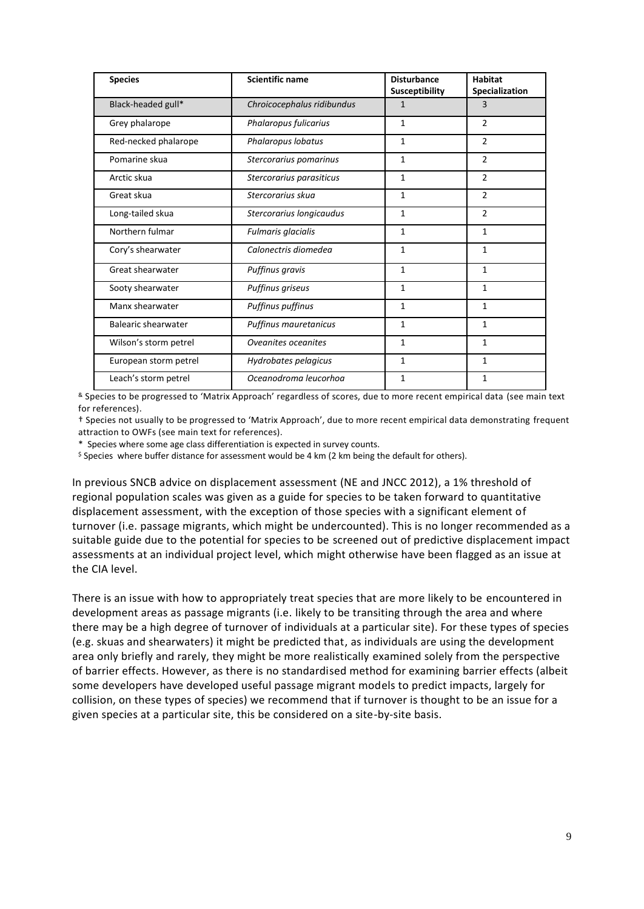| <b>Species</b>        | <b>Scientific name</b>     | <b>Disturbance</b><br>Susceptibility | <b>Habitat</b><br>Specialization |  |  |
|-----------------------|----------------------------|--------------------------------------|----------------------------------|--|--|
| Black-headed gull*    | Chroicocephalus ridibundus | $\mathbf{1}$                         | 3                                |  |  |
| Grey phalarope        | Phalaropus fulicarius      | $\mathbf{1}$                         | $\overline{2}$                   |  |  |
| Red-necked phalarope  | Phalaropus lobatus         | 1                                    | 2                                |  |  |
| Pomarine skua         | Stercorarius pomarinus     | $\mathbf{1}$                         | $\overline{2}$                   |  |  |
| Arctic skua           | Stercorarius parasiticus   | $\mathbf{1}$                         | $\mathcal{P}$                    |  |  |
| Great skua            | Stercorarius skua          | 1                                    | $\overline{2}$                   |  |  |
| Long-tailed skua      | Stercorarius longicaudus   | $\mathbf{1}$                         | $\overline{2}$                   |  |  |
| Northern fulmar       | Fulmaris glacialis         | $\mathbf{1}$                         | $\mathbf{1}$                     |  |  |
| Cory's shearwater     | Calonectris diomedea       | $\mathbf{1}$                         | $\mathbf{1}$                     |  |  |
| Great shearwater      | Puffinus gravis            | $\mathbf{1}$                         | $\mathbf{1}$                     |  |  |
| Sooty shearwater      | Puffinus griseus           | $\mathbf{1}$                         | $\mathbf{1}$                     |  |  |
| Manx shearwater       | Puffinus puffinus          | $\mathbf{1}$                         | $\mathbf{1}$                     |  |  |
| Balearic shearwater   | Puffinus mauretanicus      | $\mathbf{1}$                         | $\mathbf{1}$                     |  |  |
| Wilson's storm petrel | Oveanites oceanites        | $\mathbf{1}$                         | $\mathbf{1}$                     |  |  |
| European storm petrel | Hydrobates pelagicus       | $\mathbf{1}$                         | $\mathbf{1}$                     |  |  |
| Leach's storm petrel  | Oceanodroma leucorhoa      | $\mathbf{1}$                         | 1                                |  |  |

& Species to be progressed to 'Matrix Approach' regardless of scores, due to more recent empirical data (see main text for references).

† Species not usually to be progressed to 'Matrix Approach', due to more recent empirical data demonstrating frequent attraction to OWFs (see main text for references).

\* Species where some age class differentiation is expected in survey counts.

 $\frac{1}{2}$  Species where buffer distance for assessment would be 4 km (2 km being the default for others).

In previous SNCB advice on displacement assessment (NE and JNCC 2012), a 1% threshold of regional population scales was given as a guide for species to be taken forward to quantitative displacement assessment, with the exception of those species with a significant element of turnover (i.e. passage migrants, which might be undercounted). This is no longer recommended as a suitable guide due to the potential for species to be screened out of predictive displacement impact assessments at an individual project level, which might otherwise have been flagged as an issue at the CIA level.

There is an issue with how to appropriately treat species that are more likely to be encountered in development areas as passage migrants (i.e. likely to be transiting through the area and where there may be a high degree of turnover of individuals at a particular site). For these types of species (e.g. skuas and shearwaters) it might be predicted that, as individuals are using the development area only briefly and rarely, they might be more realistically examined solely from the perspective of barrier effects. However, as there is no standardised method for examining barrier effects (albeit some developers have developed useful passage migrant models to predict impacts, largely for collision, on these types of species) we recommend that if turnover is thought to be an issue for a given species at a particular site, this be considered on a site-by-site basis.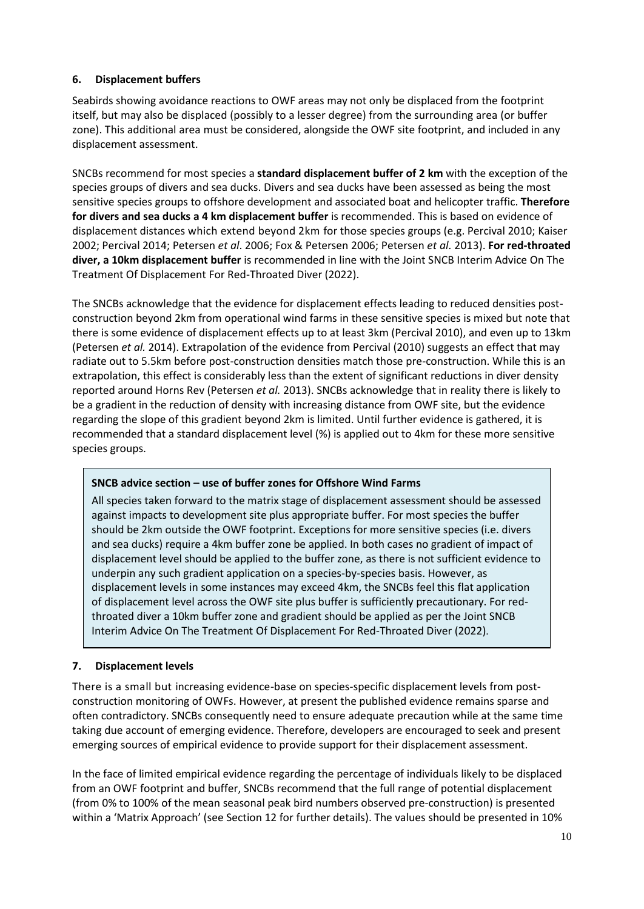#### **6. Displacement buffers**

Seabirds showing avoidance reactions to OWF areas may not only be displaced from the footprint itself, but may also be displaced (possibly to a lesser degree) from the surrounding area (or buffer zone). This additional area must be considered, alongside the OWF site footprint, and included in any displacement assessment.

SNCBs recommend for most species a **standard displacement buffer of 2 km** with the exception of the species groups of divers and sea ducks. Divers and sea ducks have been assessed as being the most sensitive species groups to offshore development and associated boat and helicopter traffic. **Therefore for divers and sea ducks a 4 km displacement buffer** is recommended. This is based on evidence of displacement distances which extend beyond 2km for those species groups (e.g. Percival 2010; Kaiser 2002; Percival 2014; Petersen *et al*. 2006; Fox & Petersen 2006; Petersen *et al.* 2013). **For red-throated diver, a 10km displacement buffer** is recommended in line with the Joint SNCB Interim Advice On The Treatment Of Displacement For Red-Throated Diver (2022).

The SNCBs acknowledge that the evidence for displacement effects leading to reduced densities postconstruction beyond 2km from operational wind farms in these sensitive species is mixed but note that there is some evidence of displacement effects up to at least 3km (Percival 2010), and even up to 13km (Petersen *et al.* 2014). Extrapolation of the evidence from Percival (2010) suggests an effect that may radiate out to 5.5km before post-construction densities match those pre-construction. While this is an extrapolation, this effect is considerably less than the extent of significant reductions in diver density reported around Horns Rev (Petersen *et al.* 2013). SNCBs acknowledge that in reality there is likely to be a gradient in the reduction of density with increasing distance from OWF site, but the evidence regarding the slope of this gradient beyond 2km is limited. Until further evidence is gathered, it is recommended that a standard displacement level (%) is applied out to 4km for these more sensitive species groups.

#### **SNCB advice section – use of buffer zones for Offshore Wind Farms**

All species taken forward to the matrix stage of displacement assessment should be assessed against impacts to development site plus appropriate buffer. For most species the buffer should be 2km outside the OWF footprint. Exceptions for more sensitive species (i.e. divers and sea ducks) require a 4km buffer zone be applied. In both cases no gradient of impact of displacement level should be applied to the buffer zone, as there is not sufficient evidence to underpin any such gradient application on a species-by-species basis. However, as displacement levels in some instances may exceed 4km, the SNCBs feel this flat application of displacement level across the OWF site plus buffer is sufficiently precautionary. For redthroated diver a 10km buffer zone and gradient should be applied as per the Joint SNCB Interim Advice On The Treatment Of Displacement For Red-Throated Diver (2022).

#### **7. Displacement levels**

There is a small but increasing evidence-base on species-specific displacement levels from postconstruction monitoring of OWFs. However, at present the published evidence remains sparse and often contradictory. SNCBs consequently need to ensure adequate precaution while at the same time taking due account of emerging evidence. Therefore, developers are encouraged to seek and present emerging sources of empirical evidence to provide support for their displacement assessment.

In the face of limited empirical evidence regarding the percentage of individuals likely to be displaced from an OWF footprint and buffer, SNCBs recommend that the full range of potential displacement (from 0% to 100% of the mean seasonal peak bird numbers observed pre-construction) is presented within a 'Matrix Approach' (see Section 12 for further details). The values should be presented in 10%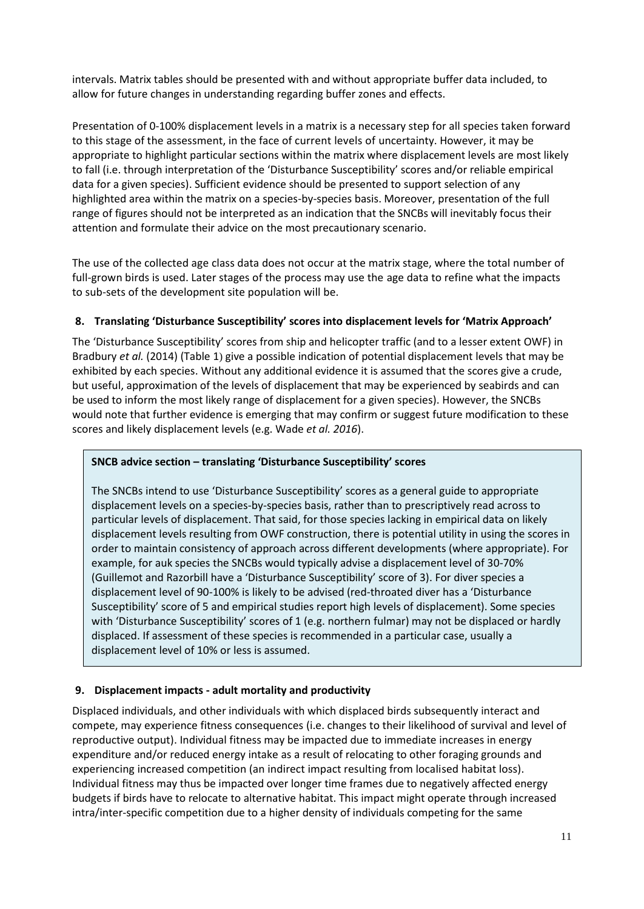intervals. Matrix tables should be presented with and without appropriate buffer data included, to allow for future changes in understanding regarding buffer zones and effects.

Presentation of 0-100% displacement levels in a matrix is a necessary step for all species taken forward to this stage of the assessment, in the face of current levels of uncertainty. However, it may be appropriate to highlight particular sections within the matrix where displacement levels are most likely to fall (i.e. through interpretation of the 'Disturbance Susceptibility' scores and/or reliable empirical data for a given species). Sufficient evidence should be presented to support selection of any highlighted area within the matrix on a species-by-species basis. Moreover, presentation of the full range of figures should not be interpreted as an indication that the SNCBs will inevitably focus their attention and formulate their advice on the most precautionary scenario.

The use of the collected age class data does not occur at the matrix stage, where the total number of full-grown birds is used. Later stages of the process may use the age data to refine what the impacts to sub-sets of the development site population will be.

#### **8. Translating 'Disturbance Susceptibility' scores into displacement levels for 'Matrix Approach'**

The 'Disturbance Susceptibility' scores from ship and helicopter traffic (and to a lesser extent OWF) in Bradbury *et al.* (2014) [\(Table 1](#page-7-0)) give a possible indication of potential displacement levels that may be exhibited by each species. Without any additional evidence it is assumed that the scores give a crude, but useful, approximation of the levels of displacement that may be experienced by seabirds and can be used to inform the most likely range of displacement for a given species). However, the SNCBs would note that further evidence is emerging that may confirm or suggest future modification to these scores and likely displacement levels (e.g. Wade *et al. 2016*).

#### **SNCB advice section – translating 'Disturbance Susceptibility' scores**

The SNCBs intend to use 'Disturbance Susceptibility' scores as a general guide to appropriate displacement levels on a species-by-species basis, rather than to prescriptively read across to particular levels of displacement. That said, for those species lacking in empirical data on likely displacement levels resulting from OWF construction, there is potential utility in using the scores in order to maintain consistency of approach across different developments (where appropriate). For example, for auk species the SNCBs would typically advise a displacement level of 30-70% (Guillemot and Razorbill have a 'Disturbance Susceptibility' score of 3). For diver species a displacement level of 90-100% is likely to be advised (red-throated diver has a 'Disturbance Susceptibility' score of 5 and empirical studies report high levels of displacement). Some species with 'Disturbance Susceptibility' scores of 1 (e.g. northern fulmar) may not be displaced or hardly displaced. If assessment of these species is recommended in a particular case, usually a displacement level of 10% or less is assumed.

#### **9. Displacement impacts - adult mortality and productivity**

Displaced individuals, and other individuals with which displaced birds subsequently interact and compete, may experience fitness consequences (i.e. changes to their likelihood of survival and level of reproductive output). Individual fitness may be impacted due to immediate increases in energy expenditure and/or reduced energy intake as a result of relocating to other foraging grounds and experiencing increased competition (an indirect impact resulting from localised habitat loss). Individual fitness may thus be impacted over longer time frames due to negatively affected energy budgets if birds have to relocate to alternative habitat. This impact might operate through increased intra/inter-specific competition due to a higher density of individuals competing for the same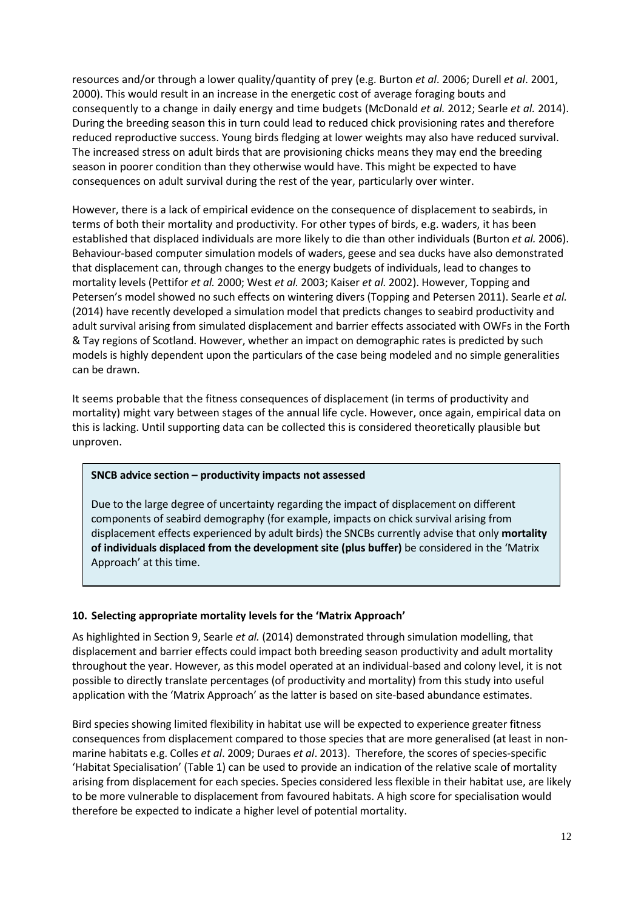resources and/or through a lower quality/quantity of prey (e.g. Burton *et al*. 2006; Durell *et al*. 2001, 2000). This would result in an increase in the energetic cost of average foraging bouts and consequently to a change in daily energy and time budgets (McDonald *et al.* 2012; Searle *et al.* 2014). During the breeding season this in turn could lead to reduced chick provisioning rates and therefore reduced reproductive success. Young birds fledging at lower weights may also have reduced survival. The increased stress on adult birds that are provisioning chicks means they may end the breeding season in poorer condition than they otherwise would have. This might be expected to have consequences on adult survival during the rest of the year, particularly over winter.

However, there is a lack of empirical evidence on the consequence of displacement to seabirds, in terms of both their mortality and productivity. For other types of birds, e.g. waders, it has been established that displaced individuals are more likely to die than other individuals (Burton *et al.* 2006). Behaviour-based computer simulation models of waders, geese and sea ducks have also demonstrated that displacement can, through changes to the energy budgets of individuals, lead to changes to mortality levels (Pettifor *et al.* 2000; West *et al.* 2003; Kaiser *et al.* 2002). However, Topping and Petersen's model showed no such effects on wintering divers (Topping and Petersen 2011). Searle *et al.* (2014) have recently developed a simulation model that predicts changes to seabird productivity and adult survival arising from simulated displacement and barrier effects associated with OWFs in the Forth & Tay regions of Scotland. However, whether an impact on demographic rates is predicted by such models is highly dependent upon the particulars of the case being modeled and no simple generalities can be drawn.

It seems probable that the fitness consequences of displacement (in terms of productivity and mortality) might vary between stages of the annual life cycle. However, once again, empirical data on this is lacking. Until supporting data can be collected this is considered theoretically plausible but unproven.

#### **SNCB advice section – productivity impacts not assessed**

Due to the large degree of uncertainty regarding the impact of displacement on different components of seabird demography (for example, impacts on chick survival arising from displacement effects experienced by adult birds) the SNCBs currently advise that only **mortality of individuals displaced from the development site (plus buffer)** be considered in the 'Matrix Approach' at this time.

#### **10. Selecting appropriate mortality levels for the 'Matrix Approach'**

As highlighted in Section 9, Searle *et al.* (2014) demonstrated through simulation modelling, that displacement and barrier effects could impact both breeding season productivity and adult mortality throughout the year. However, as this model operated at an individual-based and colony level, it is not possible to directly translate percentages (of productivity and mortality) from this study into useful application with the 'Matrix Approach' as the latter is based on site-based abundance estimates.

Bird species showing limited flexibility in habitat use will be expected to experience greater fitness consequences from displacement compared to those species that are more generalised (at least in nonmarine habitats e.g. Colles *et al*. 2009; Duraes *et al*. 2013). Therefore, the scores of species-specific 'Habitat Specialisation' (Table 1) can be used to provide an indication of the relative scale of mortality arising from displacement for each species. Species considered less flexible in their habitat use, are likely to be more vulnerable to displacement from favoured habitats. A high score for specialisation would therefore be expected to indicate a higher level of potential mortality.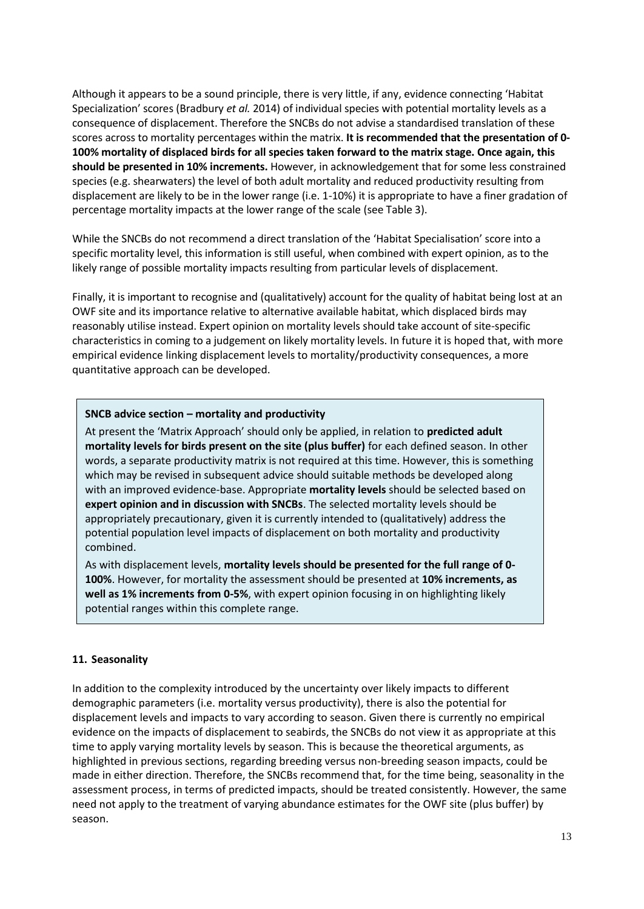Although it appears to be a sound principle, there is very little, if any, evidence connecting 'Habitat Specialization' scores (Bradbury *et al.* 2014) of individual species with potential mortality levels as a consequence of displacement. Therefore the SNCBs do not advise a standardised translation of these scores across to mortality percentages within the matrix. **It is recommended that the presentation of 0- 100% mortality of displaced birds for all species taken forward to the matrix stage. Once again, this should be presented in 10% increments.** However, in acknowledgement that for some less constrained species (e.g. shearwaters) the level of both adult mortality and reduced productivity resulting from displacement are likely to be in the lower range (i.e. 1-10%) it is appropriate to have a finer gradation of percentage mortality impacts at the lower range of the scale (see Table 3).

While the SNCBs do not recommend a direct translation of the 'Habitat Specialisation' score into a specific mortality level, this information is still useful, when combined with expert opinion, as to the likely range of possible mortality impacts resulting from particular levels of displacement.

Finally, it is important to recognise and (qualitatively) account for the quality of habitat being lost at an OWF site and its importance relative to alternative available habitat, which displaced birds may reasonably utilise instead. Expert opinion on mortality levels should take account of site-specific characteristics in coming to a judgement on likely mortality levels. In future it is hoped that, with more empirical evidence linking displacement levels to mortality/productivity consequences, a more quantitative approach can be developed.

#### **SNCB advice section – mortality and productivity**

At present the 'Matrix Approach' should only be applied, in relation to **predicted adult mortality levels for birds present on the site (plus buffer)** for each defined season. In other words, a separate productivity matrix is not required at this time. However, this is something which may be revised in subsequent advice should suitable methods be developed along with an improved evidence-base. Appropriate **mortality levels** should be selected based on **expert opinion and in discussion with SNCBs**. The selected mortality levels should be appropriately precautionary, given it is currently intended to (qualitatively) address the potential population level impacts of displacement on both mortality and productivity combined.

As with displacement levels, **mortality levels should be presented for the full range of 0- 100%**. However, for mortality the assessment should be presented at **10% increments, as well as 1% increments from 0-5%**, with expert opinion focusing in on highlighting likely potential ranges within this complete range.

#### **11. Seasonality**

In addition to the complexity introduced by the uncertainty over likely impacts to different demographic parameters (i.e. mortality versus productivity), there is also the potential for displacement levels and impacts to vary according to season. Given there is currently no empirical evidence on the impacts of displacement to seabirds, the SNCBs do not view it as appropriate at this time to apply varying mortality levels by season. This is because the theoretical arguments, as highlighted in previous sections, regarding breeding versus non-breeding season impacts, could be made in either direction. Therefore, the SNCBs recommend that, for the time being, seasonality in the assessment process, in terms of predicted impacts, should be treated consistently. However, the same need not apply to the treatment of varying abundance estimates for the OWF site (plus buffer) by season.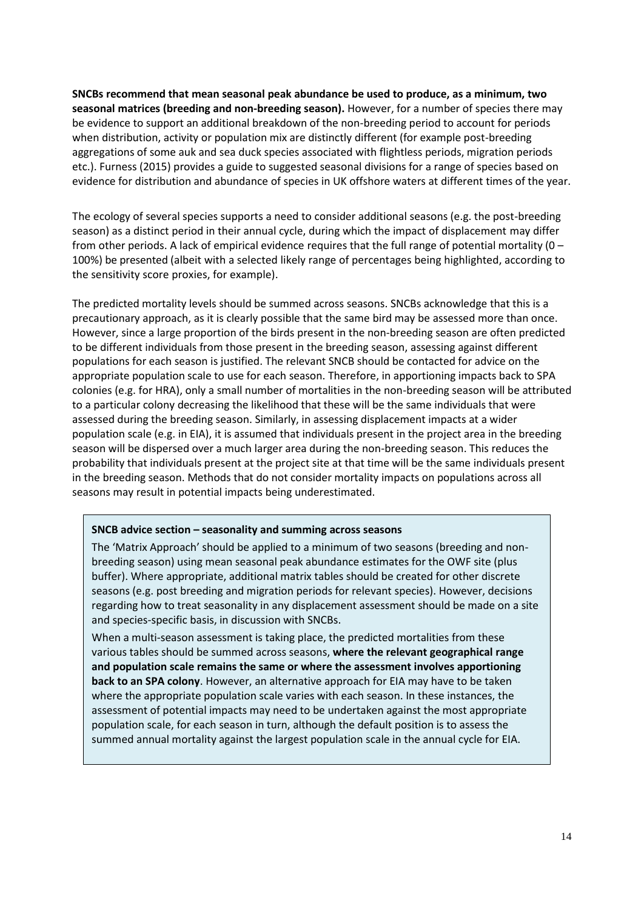**SNCBs recommend that mean seasonal peak abundance be used to produce, as a minimum, two seasonal matrices (breeding and non-breeding season).** However, for a number of species there may be evidence to support an additional breakdown of the non-breeding period to account for periods when distribution, activity or population mix are distinctly different (for example post-breeding aggregations of some auk and sea duck species associated with flightless periods, migration periods etc.). Furness (2015) provides a guide to suggested seasonal divisions for a range of species based on evidence for distribution and abundance of species in UK offshore waters at different times of the year.

The ecology of several species supports a need to consider additional seasons (e.g. the post-breeding season) as a distinct period in their annual cycle, during which the impact of displacement may differ from other periods. A lack of empirical evidence requires that the full range of potential mortality ( $0 -$ 100%) be presented (albeit with a selected likely range of percentages being highlighted, according to the sensitivity score proxies, for example).

The predicted mortality levels should be summed across seasons. SNCBs acknowledge that this is a precautionary approach, as it is clearly possible that the same bird may be assessed more than once. However, since a large proportion of the birds present in the non-breeding season are often predicted to be different individuals from those present in the breeding season, assessing against different populations for each season is justified. The relevant SNCB should be contacted for advice on the appropriate population scale to use for each season. Therefore, in apportioning impacts back to SPA colonies (e.g. for HRA), only a small number of mortalities in the non-breeding season will be attributed to a particular colony decreasing the likelihood that these will be the same individuals that were assessed during the breeding season. Similarly, in assessing displacement impacts at a wider population scale (e.g. in EIA), it is assumed that individuals present in the project area in the breeding season will be dispersed over a much larger area during the non-breeding season. This reduces the probability that individuals present at the project site at that time will be the same individuals present in the breeding season. Methods that do not consider mortality impacts on populations across all seasons may result in potential impacts being underestimated.

#### **SNCB advice section – seasonality and summing across seasons**

The 'Matrix Approach' should be applied to a minimum of two seasons (breeding and nonbreeding season) using mean seasonal peak abundance estimates for the OWF site (plus buffer). Where appropriate, additional matrix tables should be created for other discrete seasons (e.g. post breeding and migration periods for relevant species). However, decisions regarding how to treat seasonality in any displacement assessment should be made on a site and species-specific basis, in discussion with SNCBs.

When a multi-season assessment is taking place, the predicted mortalities from these various tables should be summed across seasons, **where the relevant geographical range and population scale remains the same or where the assessment involves apportioning back to an SPA colony**. However, an alternative approach for EIA may have to be taken where the appropriate population scale varies with each season. In these instances, the assessment of potential impacts may need to be undertaken against the most appropriate population scale, for each season in turn, although the default position is to assess the summed annual mortality against the largest population scale in the annual cycle for EIA.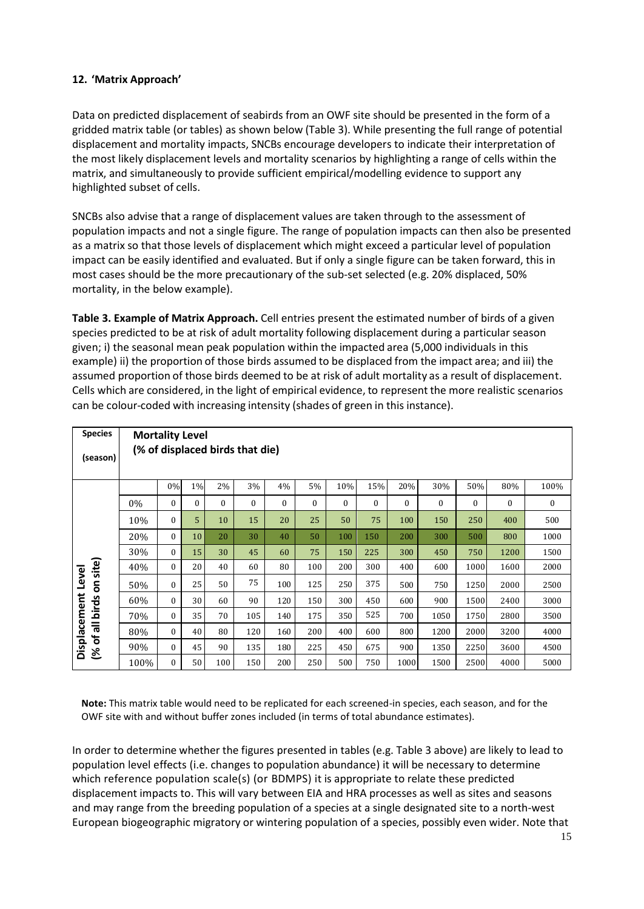#### **12. 'Matrix Approach'**

Data on predicted displacement of seabirds from an OWF site should be presented in the form of a gridded matrix table (or tables) as shown below [\(Table 3](#page-14-0)). While presenting the full range of potential displacement and mortality impacts, SNCBs encourage developers to indicate their interpretation of the most likely displacement levels and mortality scenarios by highlighting a range of cells within the matrix, and simultaneously to provide sufficient empirical/modelling evidence to support any highlighted subset of cells.

SNCBs also advise that a range of displacement values are taken through to the assessment of population impacts and not a single figure. The range of population impacts can then also be presented as a matrix so that those levels of displacement which might exceed a particular level of population impact can be easily identified and evaluated. But if only a single figure can be taken forward, this in most cases should be the more precautionary of the sub-set selected (e.g. 20% displaced, 50% mortality, in the below example).

<span id="page-14-0"></span>**Table 3. Example of Matrix Approach.** Cell entries present the estimated number of birds of a given species predicted to be at risk of adult mortality following displacement during a particular season given; i) the seasonal mean peak population within the impacted area (5,000 individuals in this example) ii) the proportion of those birds assumed to be displaced from the impact area; and iii) the assumed proportion of those birds deemed to be at risk of adult mortality as a result of displacement. Cells which are considered, in the light of empirical evidence, to represent the more realistic scenarios can be colour-coded with increasing intensity (shades of green in this instance).

| <b>Species</b>                                         | <b>Mortality Level</b>          |              |                  |          |          |          |              |          |          |          |              |          |          |              |
|--------------------------------------------------------|---------------------------------|--------------|------------------|----------|----------|----------|--------------|----------|----------|----------|--------------|----------|----------|--------------|
| (season)                                               | (% of displaced birds that die) |              |                  |          |          |          |              |          |          |          |              |          |          |              |
| on site)<br>Level<br>Displacement<br>of all birds<br>ঙ |                                 | 0%           | 1%               | 2%       | 3%       | 4%       | 5%           | 10%      | 15%      | 20%      | 30%          | 50%      | 80%      | 100%         |
|                                                        | 0%                              | $\bf{0}$     | $\boldsymbol{0}$ | $\Omega$ | $\Omega$ | $\Omega$ | $\mathbf{0}$ | $\Omega$ | $\Omega$ | $\Omega$ | $\mathbf{0}$ | $\Omega$ | $\theta$ | $\mathbf{0}$ |
|                                                        | 10%                             | $\bf{0}$     | 5                | 10       | 15       | 20       | 25           | 50       | 75       | 100      | 150          | 250      | 400      | 500          |
|                                                        | 20%                             | $\mathbf{0}$ | 10               | 20       | 30       | 40       | 50           | 100      | 150      | 200      | 300          | 500      | 800      | 1000         |
|                                                        | 30%                             | $\mathbf{0}$ | 15               | 30       | 45       | 60       | 75           | 150      | 225      | 300      | 450          | 750      | 1200     | 1500         |
|                                                        | 40%                             | $\mathbf{0}$ | 20               | 40       | 60       | 80       | 100          | 200      | 300      | 400      | 600          | 1000     | 1600     | 2000         |
|                                                        | 50%                             | $\mathbf{0}$ | 25               | 50       | 75       | 100      | 125          | 250      | 375      | 500      | 750          | 1250     | 2000     | 2500         |
|                                                        | 60%                             | $\mathbf{0}$ | 30               | 60       | 90       | 120      | 150          | 300      | 450      | 600      | 900          | 1500     | 2400     | 3000         |
|                                                        | 70%                             | 0            | 35               | 70       | 105      | 140      | 175          | 350      | 525      | 700      | 1050         | 1750     | 2800     | 3500         |
|                                                        | 80%                             | $\mathbf{0}$ | 40               | 80       | 120      | 160      | 200          | 400      | 600      | 800      | 1200         | 2000     | 3200     | 4000         |
|                                                        | 90%                             | $\bf{0}$     | 45               | 90       | 135      | 180      | 225          | 450      | 675      | 900      | 1350         | 2250     | 3600     | 4500         |
|                                                        | 100%                            | $\mathbf{0}$ | 50               | 100      | 150      | 200      | 250          | 500      | 750      | 1000     | 1500         | 2500     | 4000     | 5000         |

**Note:** This matrix table would need to be replicated for each screened-in species, each season, and for the OWF site with and without buffer zones included (in terms of total abundance estimates).

In order to determine whether the figures presented in tables (e.g. Table 3 above) are likely to lead to population level effects (i.e. changes to population abundance) it will be necessary to determine which reference population scale(s) (or BDMPS) it is appropriate to relate these predicted displacement impacts to. This will vary between EIA and HRA processes as well as sites and seasons and may range from the breeding population of a species at a single designated site to a north-west European biogeographic migratory or wintering population of a species, possibly even wider. Note that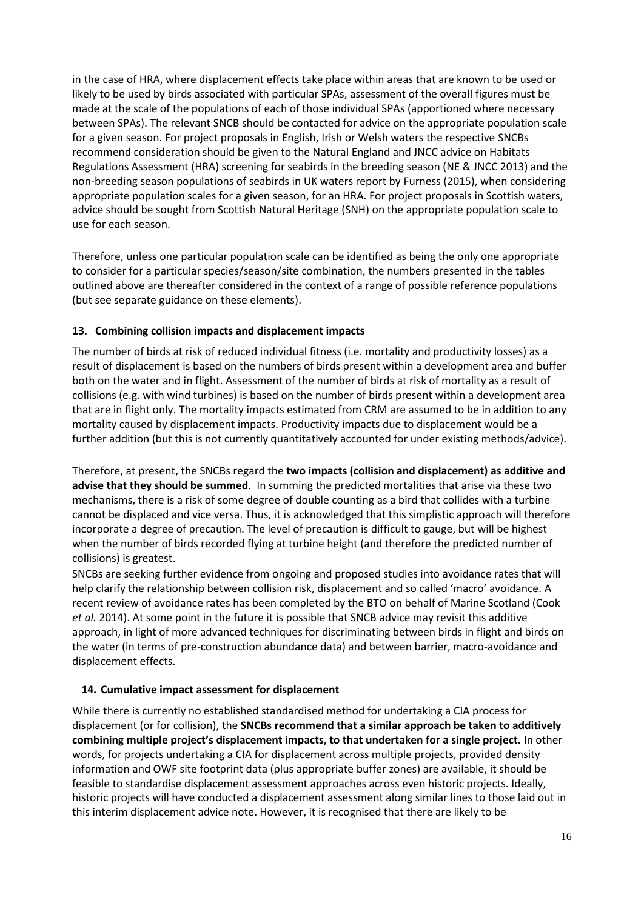in the case of HRA, where displacement effects take place within areas that are known to be used or likely to be used by birds associated with particular SPAs, assessment of the overall figures must be made at the scale of the populations of each of those individual SPAs (apportioned where necessary between SPAs). The relevant SNCB should be contacted for advice on the appropriate population scale for a given season. For project proposals in English, Irish or Welsh waters the respective SNCBs recommend consideration should be given to the Natural England and JNCC advice on Habitats Regulations Assessment (HRA) screening for seabirds in the breeding season (NE & JNCC 2013) and the non-breeding season populations of seabirds in UK waters report by Furness (2015), when considering appropriate population scales for a given season, for an HRA. For project proposals in Scottish waters, advice should be sought from Scottish Natural Heritage (SNH) on the appropriate population scale to use for each season.

Therefore, unless one particular population scale can be identified as being the only one appropriate to consider for a particular species/season/site combination, the numbers presented in the tables outlined above are thereafter considered in the context of a range of possible reference populations (but see separate guidance on these elements).

#### **13. Combining collision impacts and displacement impacts**

The number of birds at risk of reduced individual fitness (i.e. mortality and productivity losses) as a result of displacement is based on the numbers of birds present within a development area and buffer both on the water and in flight. Assessment of the number of birds at risk of mortality as a result of collisions (e.g. with wind turbines) is based on the number of birds present within a development area that are in flight only. The mortality impacts estimated from CRM are assumed to be in addition to any mortality caused by displacement impacts. Productivity impacts due to displacement would be a further addition (but this is not currently quantitatively accounted for under existing methods/advice).

Therefore, at present, the SNCBs regard the **two impacts (collision and displacement) as additive and advise that they should be summed**. In summing the predicted mortalities that arise via these two mechanisms, there is a risk of some degree of double counting as a bird that collides with a turbine cannot be displaced and vice versa. Thus, it is acknowledged that this simplistic approach will therefore incorporate a degree of precaution. The level of precaution is difficult to gauge, but will be highest when the number of birds recorded flying at turbine height (and therefore the predicted number of collisions) is greatest.

SNCBs are seeking further evidence from ongoing and proposed studies into avoidance rates that will help clarify the relationship between collision risk, displacement and so called 'macro' avoidance. A recent review of avoidance rates has been completed by the BTO on behalf of Marine Scotland (Cook *et al.* 2014). At some point in the future it is possible that SNCB advice may revisit this additive approach, in light of more advanced techniques for discriminating between birds in flight and birds on the water (in terms of pre-construction abundance data) and between barrier, macro-avoidance and displacement effects.

#### **14. Cumulative impact assessment for displacement**

While there is currently no established standardised method for undertaking a CIA process for displacement (or for collision), the **SNCBs recommend that a similar approach be taken to additively combining multiple project's displacement impacts, to that undertaken for a single project.** In other words, for projects undertaking a CIA for displacement across multiple projects, provided density information and OWF site footprint data (plus appropriate buffer zones) are available, it should be feasible to standardise displacement assessment approaches across even historic projects. Ideally, historic projects will have conducted a displacement assessment along similar lines to those laid out in this interim displacement advice note. However, it is recognised that there are likely to be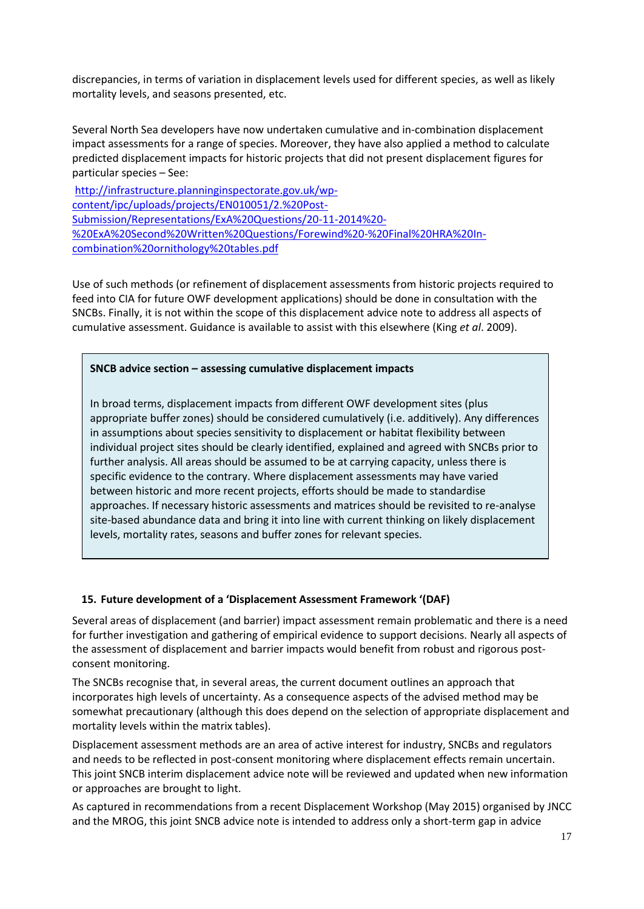discrepancies, in terms of variation in displacement levels used for different species, as well as likely mortality levels, and seasons presented, etc.

Several North Sea developers have now undertaken cumulative and in-combination displacement impact assessments for a range of species. Moreover, they have also applied a method to calculate predicted displacement impacts for historic projects that did not present displacement figures for particular species – See:

http://infrastructure.planninginspectorate.gov.uk/wpcontent/ipc/uploads/projects/EN010051/2.%20Post-Submission/Representations/ExA%20Questions/20-11-2014%20- [%20ExA%20Second%20Written%20Questions/Forewind%20-%20Final%20HRA%20In](http://infrastructure.planninginspectorate.gov.uk/wp-content/ipc/uploads/projects/EN010051/2.%20Post-Submission/Representations/ExA%20Questions/20-11-2014%20-%20ExA%20Second%20Written%20Questions/Forewind%20-%20Final%20HRA%20In-combination%20ornithology%20tables.pdf)combination%20ornithology%20tables.pdf

Use of such methods (or refinement of displacement assessments from historic projects required to feed into CIA for future OWF development applications) should be done in consultation with the SNCBs. Finally, it is not within the scope of this displacement advice note to address all aspects of cumulative assessment. Guidance is available to assist with this elsewhere (King *et al*. 2009).

#### **SNCB advice section – assessing cumulative displacement impacts**

In broad terms, displacement impacts from different OWF development sites (plus appropriate buffer zones) should be considered cumulatively (i.e. additively). Any differences in assumptions about species sensitivity to displacement or habitat flexibility between individual project sites should be clearly identified, explained and agreed with SNCBs prior to further analysis. All areas should be assumed to be at carrying capacity, unless there is specific evidence to the contrary. Where displacement assessments may have varied between historic and more recent projects, efforts should be made to standardise approaches. If necessary historic assessments and matrices should be revisited to re-analyse site-based abundance data and bring it into line with current thinking on likely displacement levels, mortality rates, seasons and buffer zones for relevant species.

#### **15. Future development of a 'Displacement Assessment Framework '(DAF)**

Several areas of displacement (and barrier) impact assessment remain problematic and there is a need for further investigation and gathering of empirical evidence to support decisions. Nearly all aspects of the assessment of displacement and barrier impacts would benefit from robust and rigorous postconsent monitoring.

The SNCBs recognise that, in several areas, the current document outlines an approach that incorporates high levels of uncertainty. As a consequence aspects of the advised method may be somewhat precautionary (although this does depend on the selection of appropriate displacement and mortality levels within the matrix tables).

Displacement assessment methods are an area of active interest for industry, SNCBs and regulators and needs to be reflected in post-consent monitoring where displacement effects remain uncertain. This joint SNCB interim displacement advice note will be reviewed and updated when new information or approaches are brought to light.

As captured in recommendations from a recent Displacement Workshop (May 2015) organised by JNCC and the MROG, this joint SNCB advice note is intended to address only a short-term gap in advice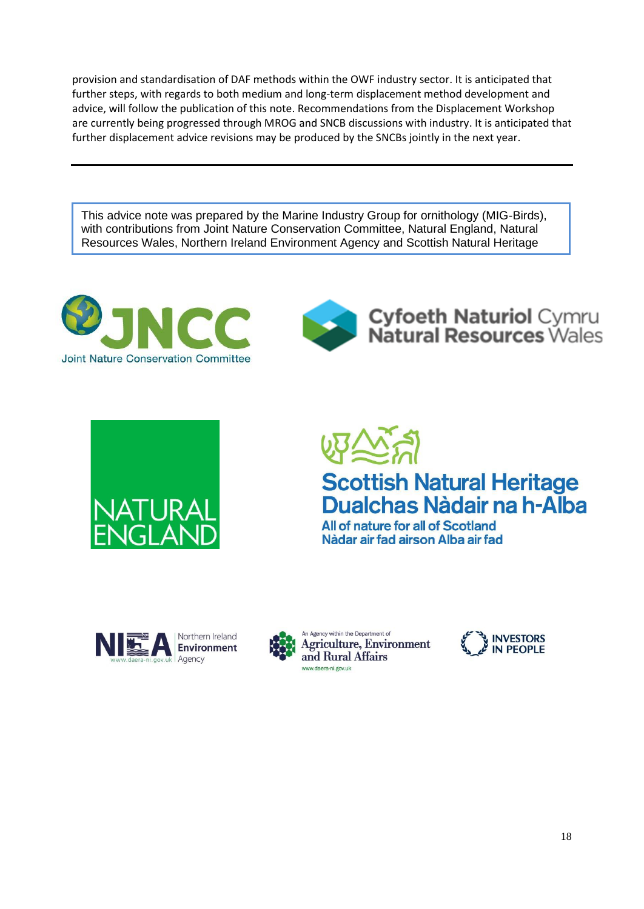provision and standardisation of DAF methods within the OWF industry sector. It is anticipated that further steps, with regards to both medium and long-term displacement method development and advice, will follow the publication of this note. Recommendations from the Displacement Workshop are currently being progressed through MROG and SNCB discussions with industry. It is anticipated that further displacement advice revisions may be produced by the SNCBs jointly in the next year.

This advice note was prepared by the Marine Industry Group for ornithology (MIG-Birds), with contributions from Joint Nature Conservation Committee, Natural England, Natural Resources Wales, Northern Ireland Environment Agency and Scottish Natural Heritage





**Cyfoeth Naturiol Cymru<br>Natural Resources Wales** 





All of nature for all of Scotland Nàdar air fad airson Alba air fad





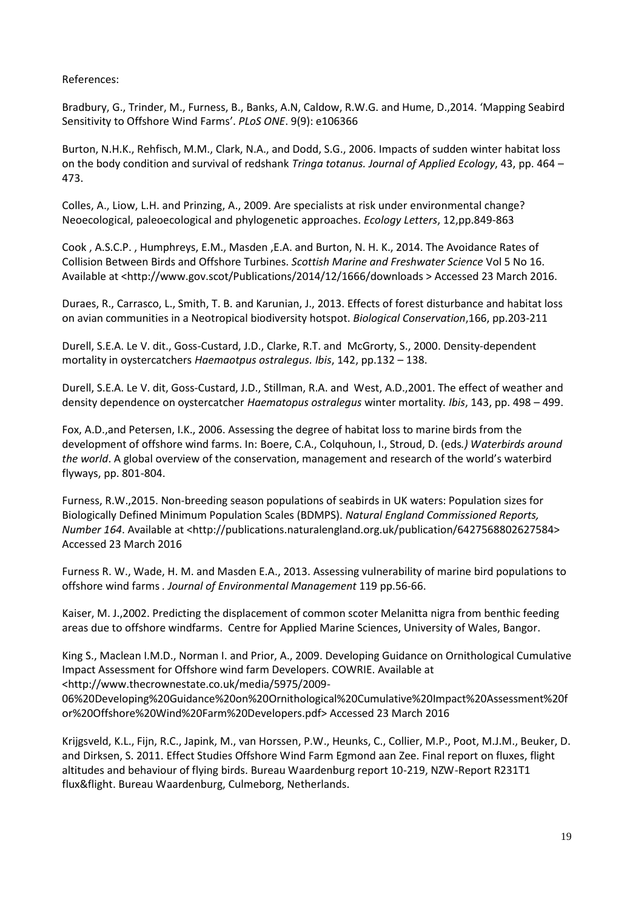References:

Bradbury, G., Trinder, M., Furness, B., Banks, A.N, Caldow, R.W.G. and Hume, D.,2014. 'Mapping Seabird Sensitivity to Offshore Wind Farms'. *PLoS ONE*. 9(9): e106366

Burton, N.H.K., Rehfisch, M.M., Clark, N.A., and Dodd, S.G., 2006. Impacts of sudden winter habitat loss on the body condition and survival of redshank *Tringa totanus. Journal of Applied Ecology*, 43, pp. 464 – 473.

Colles, A., Liow, L.H. and Prinzing, A., 2009. Are specialists at risk under environmental change? Neoecological, paleoecological and phylogenetic approaches. *Ecology Letters*, 12,pp.849-863

Cook , A.S.C.P. , Humphreys, E.M., Masden ,E.A. and Burton, N. H. K., 2014. The Avoidance Rates of Collision Between Birds and Offshore Turbines. *Scottish Marine and Freshwater Science* Vol 5 No 16. Available at [<http://www.gov.scot/Publications/2014/12/1666/downloads](http://www.gov.scot/Publications/2014/12/1666/downloads) > Accessed 23 March 2016.

Duraes, R., Carrasco, L., Smith, T. B. and Karunian, J., 2013. Effects of forest disturbance and habitat loss on avian communities in a Neotropical biodiversity hotspot. *Biological Conservation*,166, pp.203-211

Durell, S.E.A. Le V. dit., Goss-Custard, J.D., Clarke, R.T. and McGrorty, S., 2000. Density-dependent mortality in oystercatchers *Haemaotpus ostralegus. Ibis*, 142, pp.132 – 138.

Durell, S.E.A. Le V. dit, Goss-Custard, J.D., Stillman, R.A. and West, A.D.,2001. The effect of weather and density dependence on oystercatcher *Haematopus ostralegus* winter mortality*. Ibis*, 143, pp. 498 – 499.

Fox, A.D.,and Petersen, I.K., 2006. Assessing the degree of habitat loss to marine birds from the development of offshore wind farms. In: Boere, C.A., Colquhoun, I., Stroud, D. (eds*.) Waterbirds around the world*. A global overview of the conservation, management and research of the world's waterbird flyways, pp. 801-804.

Furness, R.W.,2015. Non-breeding season populations of seabirds in UK waters: Population sizes for Biologically Defined Minimum Population Scales (BDMPS). *Natural England Commissioned Reports, Number 164*. Available at [<http://publications.naturalengland.org.uk/publication/6427568802627584>](http://publications.naturalengland.org.uk/publication/6427568802627584) Accessed 23 March 2016

Furness R. W., Wade, H. M. and Masden E.A., 2013. Assessing vulnerability of marine bird populations to offshore wind farms *. Journal of Environmental Management* 119 pp.56-66.

Kaiser, M. J.,2002. Predicting the displacement of common scoter Melanitta nigra from benthic feeding areas due to offshore windfarms. Centre for Applied Marine Sciences, University of Wales, Bangor.

King S., Maclean I.M.D., Norman I. and Prior, A., 2009. Developing Guidance on Ornithological Cumulative Impact Assessment for Offshore wind farm Developers. COWRIE. Available at <http://www.thecrownestate.co.uk/media/5975/2009-

[06%20Developing%20Guidance%20on%20Ornithological%20Cumulative%20Impact%20Assessment%20f](http://www.thecrownestate.co.uk/media/5975/2009-06%20Developing%20Guidance%20on%20Ornithological%20Cumulative%20Impact%20Assessment%20for%20Offshore%20Wind%20Farm%20Developers.pdf) or%20Offshore%20Wind%20Farm%20Developers.pdf> Accessed 23 March 2016

Krijgsveld, K.L., Fijn, R.C., Japink, M., van Horssen, P.W., Heunks, C., Collier, M.P., Poot, M.J.M., Beuker, D. and Dirksen, S. 2011. Effect Studies Offshore Wind Farm Egmond aan Zee. Final report on fluxes, flight altitudes and behaviour of flying birds. Bureau Waardenburg report 10-219, NZW-Report R231T1 flux&flight. Bureau Waardenburg, Culmeborg, Netherlands.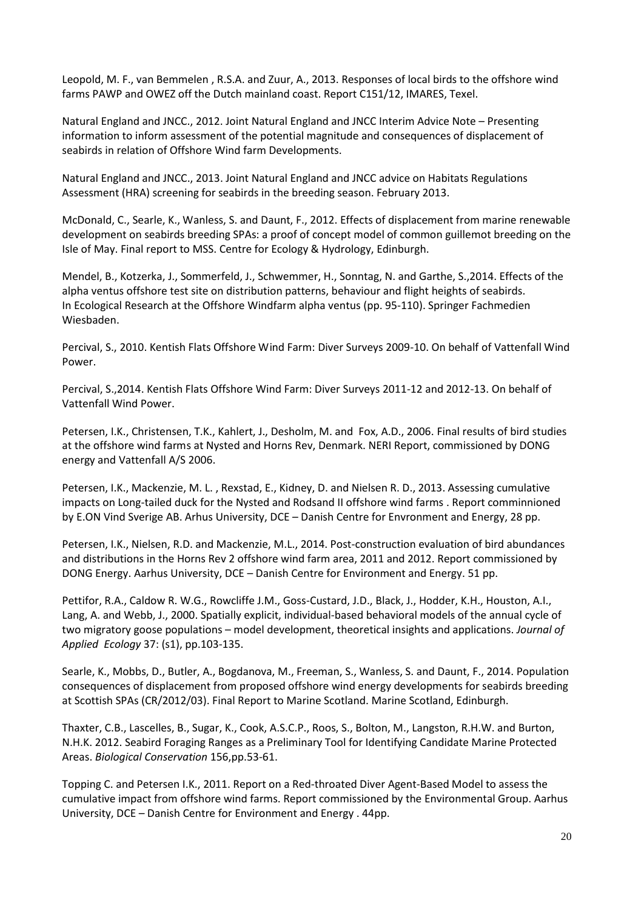Leopold, M. F., van Bemmelen , R.S.A. and Zuur, A., 2013. Responses of local birds to the offshore wind farms PAWP and OWEZ off the Dutch mainland coast. Report C151/12, IMARES, Texel.

Natural England and JNCC., 2012. Joint Natural England and JNCC Interim Advice Note – Presenting information to inform assessment of the potential magnitude and consequences of displacement of seabirds in relation of Offshore Wind farm Developments.

Natural England and JNCC., 2013. Joint Natural England and JNCC advice on Habitats Regulations Assessment (HRA) screening for seabirds in the breeding season. February 2013.

McDonald, C., Searle, K., Wanless, S. and Daunt, F., 2012. Effects of displacement from marine renewable development on seabirds breeding SPAs: a proof of concept model of common guillemot breeding on the Isle of May. Final report to MSS. Centre for Ecology & Hydrology, Edinburgh.

Mendel, B., Kotzerka, J., Sommerfeld, J., Schwemmer, H., Sonntag, N. and Garthe, S.,2014. Effects of the alpha ventus offshore test site on distribution patterns, behaviour and flight heights of seabirds. In Ecological Research at the Offshore Windfarm alpha ventus (pp. 95-110). Springer Fachmedien Wiesbaden.

Percival, S., 2010. Kentish Flats Offshore Wind Farm: Diver Surveys 2009-10. On behalf of Vattenfall Wind Power.

Percival, S.,2014. Kentish Flats Offshore Wind Farm: Diver Surveys 2011-12 and 2012-13. On behalf of Vattenfall Wind Power.

Petersen, I.K., Christensen, T.K., Kahlert, J., Desholm, M. and Fox, A.D., 2006. Final results of bird studies at the offshore wind farms at Nysted and Horns Rev, Denmark. NERI Report, commissioned by DONG energy and Vattenfall A/S 2006.

Petersen, I.K., Mackenzie, M. L. , Rexstad, E., Kidney, D. and Nielsen R. D., 2013. Assessing cumulative impacts on Long-tailed duck for the Nysted and Rodsand II offshore wind farms . Report comminnioned by E.ON Vind Sverige AB. Arhus University, DCE – Danish Centre for Envronment and Energy, 28 pp.

Petersen, I.K., Nielsen, R.D. and Mackenzie, M.L., 2014. Post-construction evaluation of bird abundances and distributions in the Horns Rev 2 offshore wind farm area, 2011 and 2012. Report commissioned by DONG Energy. Aarhus University, DCE – Danish Centre for Environment and Energy. 51 pp.

Pettifor, R.A., Caldow R. W.G., Rowcliffe J.M., Goss-Custard, J.D., Black, J., Hodder, K.H., Houston, A.I., Lang, A. and Webb, J., 2000. Spatially explicit, individual-based behavioral models of the annual cycle of two migratory goose populations – model development, theoretical insights and applications. *Journal of Applied Ecology* 37: (s1), pp.103-135.

Searle, K., Mobbs, D., Butler, A., Bogdanova, M., Freeman, S., Wanless, S. and Daunt, F., 2014. Population consequences of displacement from proposed offshore wind energy developments for seabirds breeding at Scottish SPAs (CR/2012/03). Final Report to Marine Scotland. Marine Scotland, Edinburgh.

Thaxter, C.B., Lascelles, B., Sugar, K., Cook, A.S.C.P., Roos, S., Bolton, M., Langston, R.H.W. and Burton, N.H.K. 2012. Seabird Foraging Ranges as a Preliminary Tool for Identifying Candidate Marine Protected Areas. *Biological Conservation* 156,pp.53-61.

Topping C. and Petersen I.K., 2011. Report on a Red-throated Diver Agent-Based Model to assess the cumulative impact from offshore wind farms. Report commissioned by the Environmental Group. Aarhus University, DCE – Danish Centre for Environment and Energy . 44pp.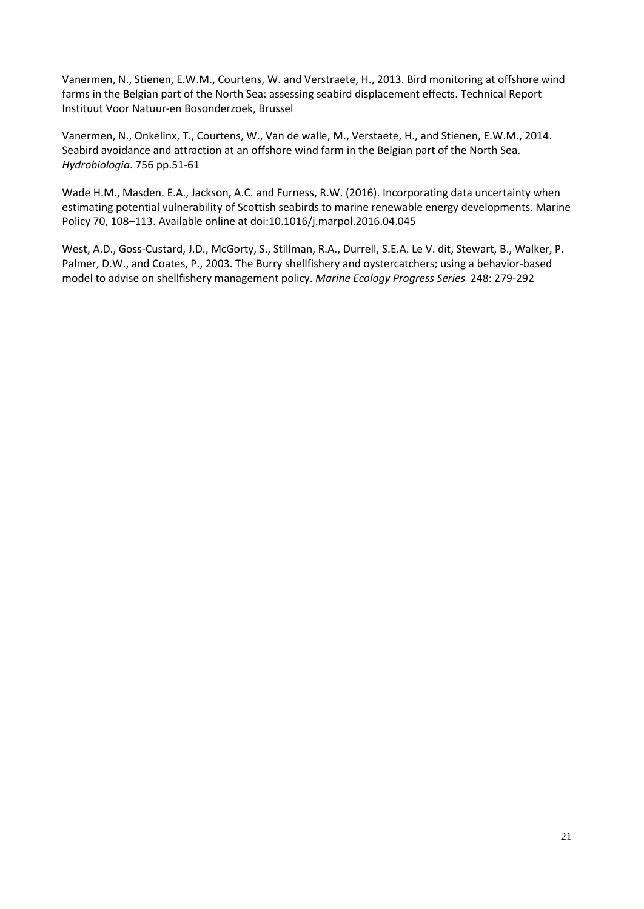Vanermen, N., Stienen, E.W.M., Courtens, W. and Verstraete, H., 2013. Bird monitoring at offshore wind farms in the Belgian part of the North Sea: assessing seabird displacement effects. Technical Report Instituut Voor Natuur-en Bosonderzoek, Brussel

Vanermen, N., Onkelinx, T., Courtens, W., Van de walle, M., Verstaete, H., and Stienen, E.W.M., 2014. Seabird avoidance and attraction at an offshore wind farm in the Belgian part of the North Sea. *Hydrobiologia*. 756 pp.51-61

Wade H.M., Masden. E.A., Jackson, A.C. and Furness, R.W. (2016). Incorporating data uncertainty when estimating potential vulnerability of Scottish seabirds to marine renewable energy developments. Marine Policy 70, 108–113. Available online at doi:10.1016/j.marpol.2016.04.045

West, A.D., Goss-Custard, J.D., McGorty, S., Stillman, R.A., Durrell, S.E.A. Le V. dit, Stewart, B., Walker, P. Palmer, D.W., and Coates, P., 2003. The Burry shellfishery and oystercatchers; using a behavior-based model to advise on shellfishery management policy. *Marine Ecology Progress Series* 248: 279-292